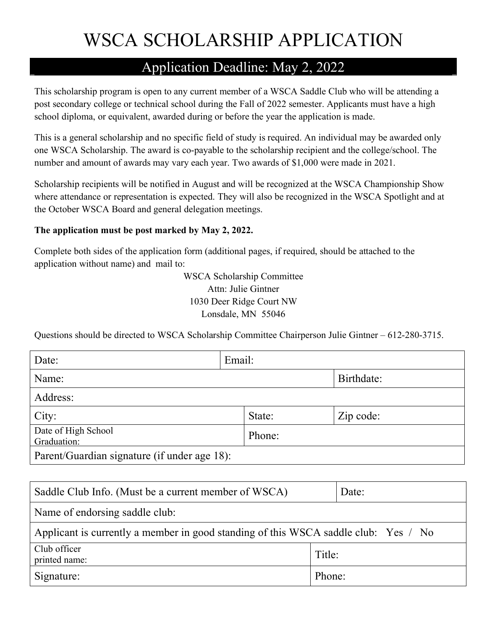# WSCA SCHOLARSHIP APPLICATION

#### Application Deadline: May 2, 2022

This scholarship program is open to any current member of a WSCA Saddle Club who will be attending a post secondary college or technical school during the Fall of 2022 semester. Applicants must have a high school diploma, or equivalent, awarded during or before the year the application is made.

This is a general scholarship and no specific field of study is required. An individual may be awarded only one WSCA Scholarship. The award is co-payable to the scholarship recipient and the college/school. The number and amount of awards may vary each year. Two awards of \$1,000 were made in 2021.

Scholarship recipients will be notified in August and will be recognized at the WSCA Championship Show where attendance or representation is expected. They will also be recognized in the WSCA Spotlight and at the October WSCA Board and general delegation meetings.

#### **The application must be post marked by May 2, 2022.**

Complete both sides of the application form (additional pages, if required, should be attached to the application without name) and mail to:

> WSCA Scholarship Committee Attn: Julie Gintner 1030 Deer Ridge Court NW Lonsdale, MN 55046

Questions should be directed to WSCA Scholarship Committee Chairperson Julie Gintner – 612-280-3715.

| Date:                                        | Email: |        |            |  |
|----------------------------------------------|--------|--------|------------|--|
| Name:                                        |        |        | Birthdate: |  |
| Address:                                     |        |        |            |  |
| City:                                        |        | State: | Zip code:  |  |
| Date of High School<br>Graduation:           |        | Phone: |            |  |
| Parent/Guardian signature (if under age 18): |        |        |            |  |

| Saddle Club Info. (Must be a current member of WSCA)                                |        | Date: |  |  |
|-------------------------------------------------------------------------------------|--------|-------|--|--|
| Name of endorsing saddle club:                                                      |        |       |  |  |
| Applicant is currently a member in good standing of this WSCA saddle club: Yes / No |        |       |  |  |
| Club officer<br>printed name:                                                       | Title: |       |  |  |
| Signature:                                                                          | Phone: |       |  |  |